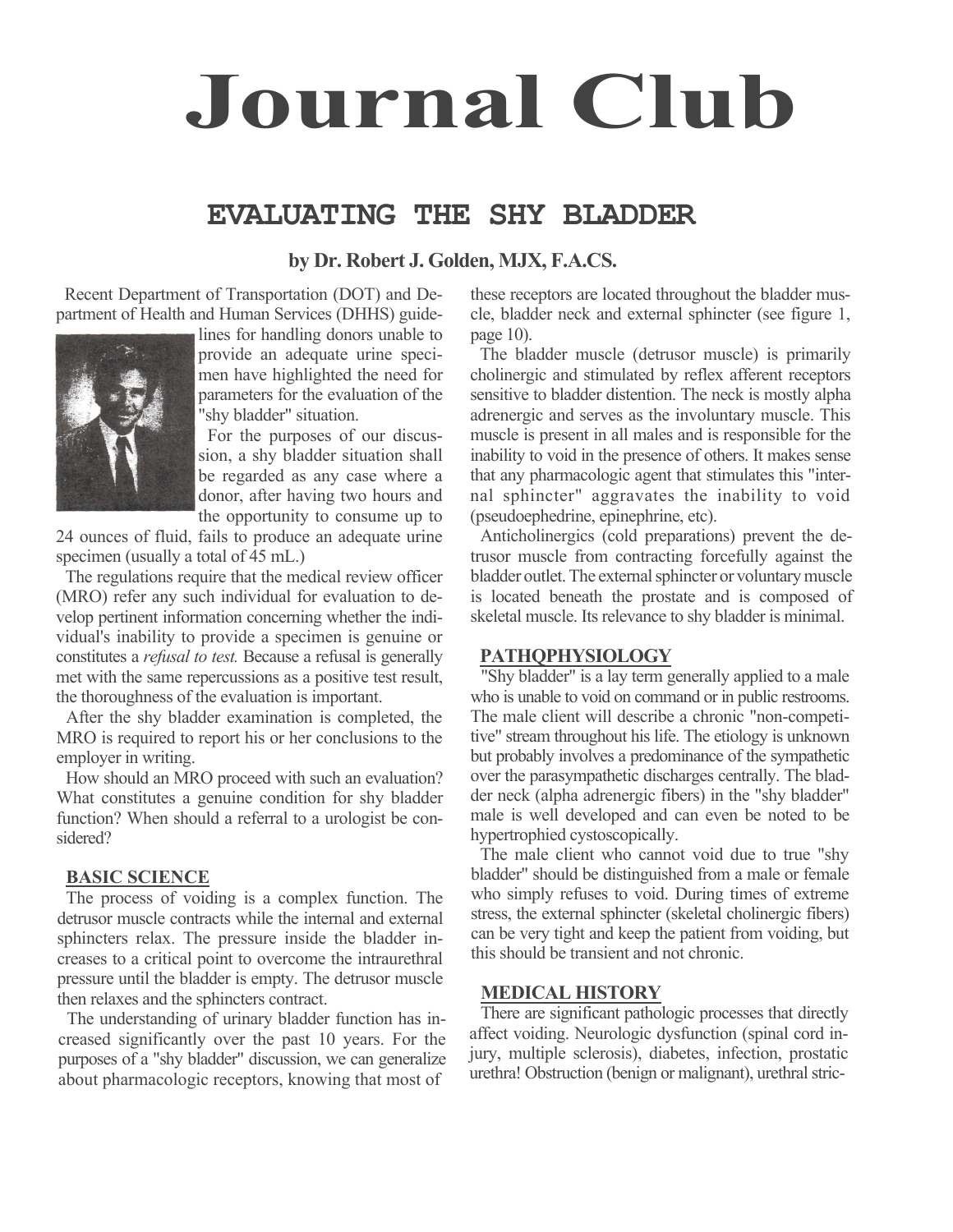# **Journal Club**

## **EVALUATING THE SHY BLADDER**

#### **by Dr. Robert J. Golden, MJX, F.A.CS.**

Recent Department of Transportation (DOT) and Department of Health and Human Services (DHHS) guide-



lines for handling donors unable to provide an adequate urine specimen have highlighted the need for parameters for the evaluation of the "shy bladder" situation.

For the purposes of our discussion, a shy bladder situation shall be regarded as any case where a donor, after having two hours and the opportunity to consume up to

24 ounces of fluid, fails to produce an adequate urine specimen (usually a total of 45 mL.)

The regulations require that the medical review officer (MRO) refer any such individual for evaluation to develop pertinent information concerning whether the individual's inability to provide a specimen is genuine or constitutes a *refusal to test.* Because a refusal is generally met with the same repercussions as a positive test result, the thoroughness of the evaluation is important.

After the shy bladder examination is completed, the MRO is required to report his or her conclusions to the employer in writing.

How should an MRO proceed with such an evaluation? What constitutes a genuine condition for shy bladder function? When should a referral to a urologist be considered?

#### **BASIC SCIENCE**

The process of voiding is a complex function. The detrusor muscle contracts while the internal and external sphincters relax. The pressure inside the bladder increases to a critical point to overcome the intraurethral pressure until the bladder is empty. The detrusor muscle then relaxes and the sphincters contract.

The understanding of urinary bladder function has increased significantly over the past 10 years. For the purposes of a "shy bladder" discussion, we can generalize about pharmacologic receptors, knowing that most of

these receptors are located throughout the bladder muscle, bladder neck and external sphincter (see figure 1, page 10).

The bladder muscle (detrusor muscle) is primarily cholinergic and stimulated by reflex afferent receptors sensitive to bladder distention. The neck is mostly alpha adrenergic and serves as the involuntary muscle. This muscle is present in all males and is responsible for the inability to void in the presence of others. It makes sense that any pharmacologic agent that stimulates this "internal sphincter" aggravates the inability to void (pseudoephedrine, epinephrine, etc).

Anticholinergics (cold preparations) prevent the detrusor muscle from contracting forcefully against the bladder outlet. The external sphincter or voluntary muscle is located beneath the prostate and is composed of skeletal muscle. Its relevance to shy bladder is minimal.

#### **PATHQPHYSIOLOGY**

"Shy bladder" is a lay term generally applied to a male who is unable to void on command or in public restrooms. The male client will describe a chronic "non-competitive" stream throughout his life. The etiology is unknown but probably involves a predominance of the sympathetic over the parasympathetic discharges centrally. The bladder neck (alpha adrenergic fibers) in the "shy bladder" male is well developed and can even be noted to be hypertrophied cystoscopically.

The male client who cannot void due to true "shy bladder" should be distinguished from a male or female who simply refuses to void. During times of extreme stress, the external sphincter (skeletal cholinergic fibers) can be very tight and keep the patient from voiding, but this should be transient and not chronic.

#### **MEDICAL HISTORY**

There are significant pathologic processes that directly affect voiding. Neurologic dysfunction (spinal cord injury, multiple sclerosis), diabetes, infection, prostatic urethra! Obstruction (benign or malignant), urethral stric-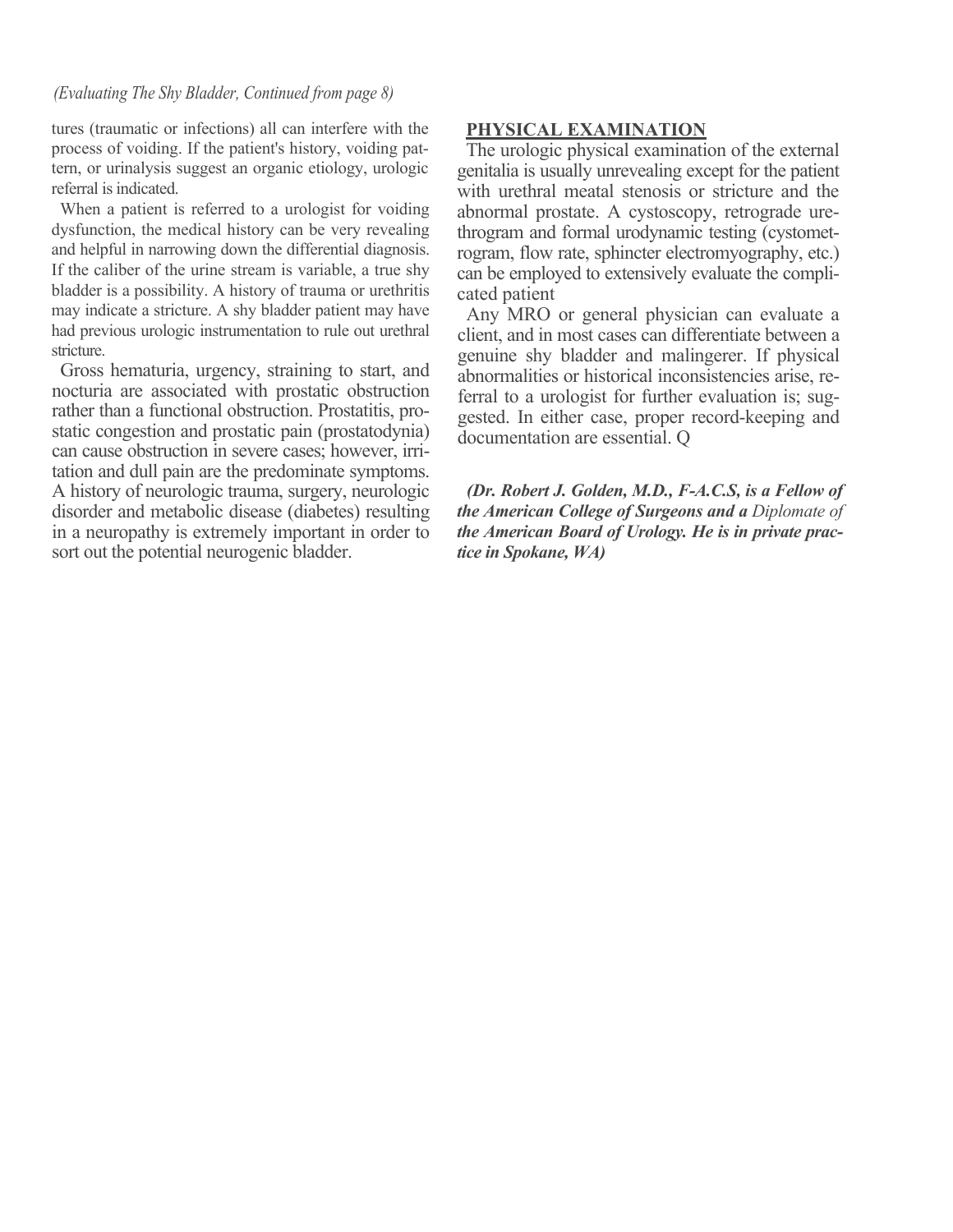#### *(Evaluating The Shy Bladder, Continued from page 8)*

tures (traumatic or infections) all can interfere with the process of voiding. If the patient's history, voiding pattern, or urinalysis suggest an organic etiology, urologic referral is indicated.

When a patient is referred to a urologist for voiding dysfunction, the medical history can be very revealing and helpful in narrowing down the differential diagnosis. If the caliber of the urine stream is variable, a true shy bladder is a possibility. A history of trauma or urethritis may indicate a stricture. A shy bladder patient may have had previous urologic instrumentation to rule out urethral stricture.

Gross hematuria, urgency, straining to start, and nocturia are associated with prostatic obstruction rather than a functional obstruction. Prostatitis, prostatic congestion and prostatic pain (prostatodynia) can cause obstruction in severe cases; however, irritation and dull pain are the predominate symptoms. A history of neurologic trauma, surgery, neurologic disorder and metabolic disease (diabetes) resulting in a neuropathy is extremely important in order to sort out the potential neurogenic bladder.

#### **PHYSICAL EXAMINATION**

The urologic physical examination of the external genitalia is usually unrevealing except for the patient with urethral meatal stenosis or stricture and the abnormal prostate. A cystoscopy, retrograde urethrogram and formal urodynamic testing (cystometrogram, flow rate, sphincter electromyography, etc.) can be employed to extensively evaluate the complicated patient

Any MRO or general physician can evaluate a client, and in most cases can differentiate between a genuine shy bladder and malingerer. If physical abnormalities or historical inconsistencies arise, referral to a urologist for further evaluation is; suggested. In either case, proper record-keeping and documentation are essential. Q

*(Dr. Robert J. Golden, M.D., F-A.C.S, is a Fellow of the American College of Surgeons and a Diplomate of the American Board of Urology. He is in private practice in Spokane, WA)*